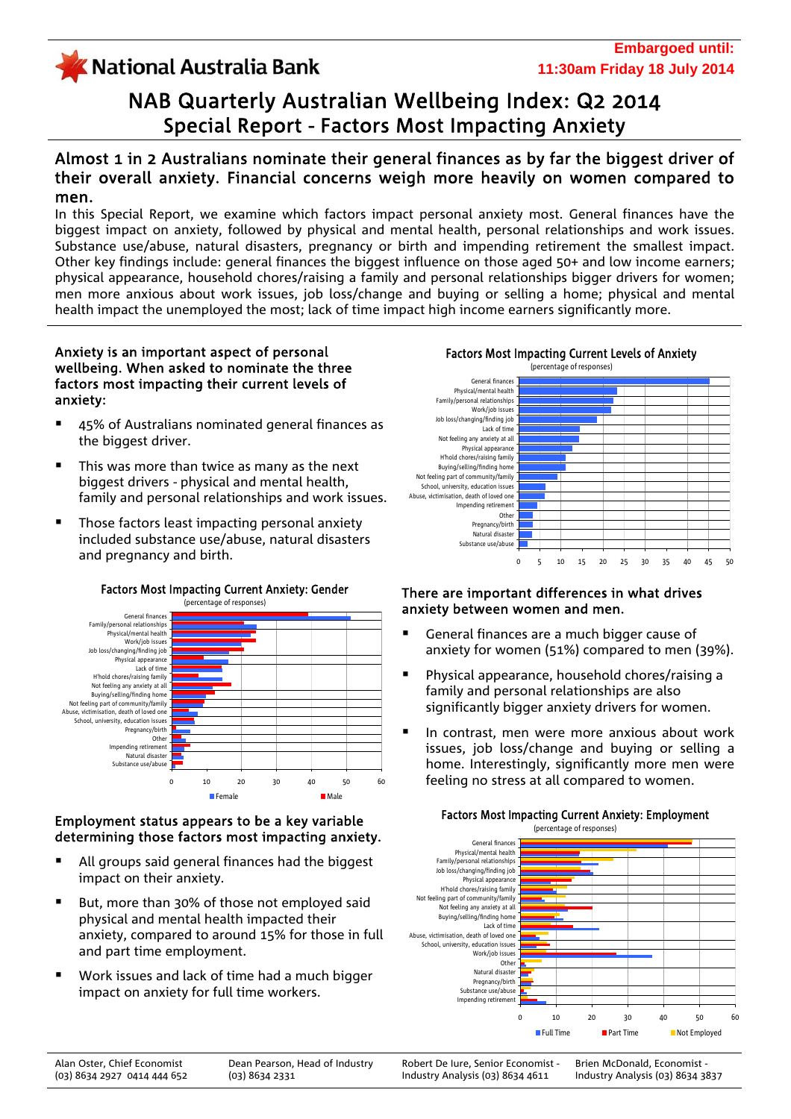# KNational Australia Bank

# NAB Quarterly Australian Wellbeing Index: Q2 2014 Special Report - Factors Most Impacting Anxiety

## Almost 1 in 2 Australians nominate their general finances as by far the biggest driver of their overall anxiety. Financial concerns weigh more heavily on women compared to men.

In this Special Report, we examine which factors impact personal anxiety most. General finances have the biggest impact on anxiety, followed by physical and mental health, personal relationships and work issues. Substance use/abuse, natural disasters, pregnancy or birth and impending retirement the smallest impact. Other key findings include: general finances the biggest influence on those aged 50+ and low income earners; physical appearance, household chores/raising a family and personal relationships bigger drivers for women; men more anxious about work issues, job loss/change and buying or selling a home; physical and mental health impact the unemployed the most; lack of time impact high income earners significantly more.

## Anxiety is an important aspect of personal wellbeing. When asked to nominate the three factors most impacting their current levels of anxiety:

- 45% of Australians nominated general finances as the biggest driver.
- This was more than twice as many as the next biggest drivers - physical and mental health, family and personal relationships and work issues.
- Those factors least impacting personal anxiety included substance use/abuse, natural disasters and pregnancy and birth.



# Factors Most Impacting Current Anxiety: Gender

#### Employment status appears to be a key variable determining those factors most impacting anxiety.

- All groups said general finances had the biggest impact on their anxiety.
- But, more than 30% of those not employed said physical and mental health impacted their anxiety, compared to around 15% for those in full and part time employment.
- Work issues and lack of time had a much bigger impact on anxiety for full time workers.

Factors Most Impacting Current Levels of Anxiety



## There are important differences in what drives anxiety between women and men.

- General finances are a much bigger cause of anxiety for women (51%) compared to men (39%).
- Physical appearance, household chores/raising a family and personal relationships are also significantly bigger anxiety drivers for women.
- In contrast, men were more anxious about work issues, job loss/change and buying or selling a home. Interestingly, significantly more men were feeling no stress at all compared to women.



#### Factors Most Impacting Current Anxiety: Employment

Alan Oster, Chief Economist (03) 8634 2927 0414 444 652

Robert De Iure, Senior Economist - Industry Analysis (03) 8634 4611

Brien McDonald, Economist - Industry Analysis (03) 8634 3837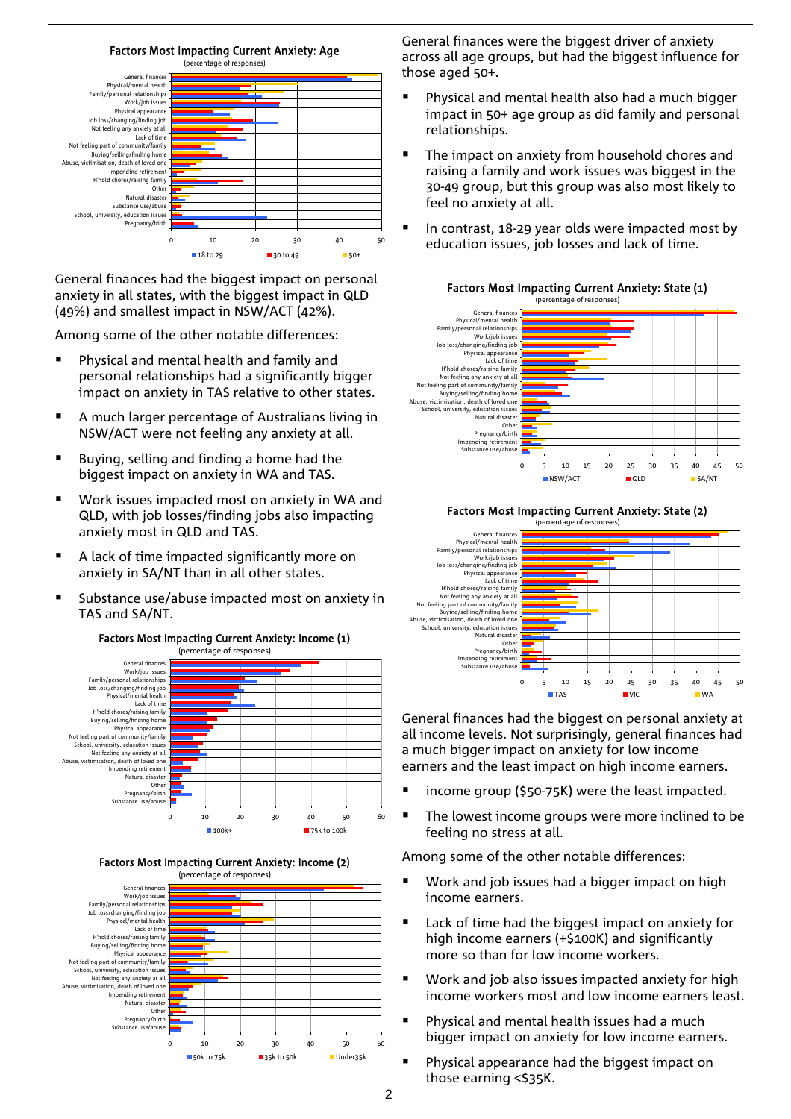![](_page_1_Figure_0.jpeg)

General finances had the biggest impact on personal anxiety in all states, with the biggest impact in QLD (49%) and smallest impact in NSW/ACT (42%).

Among some of the other notable differences:

- Physical and mental health and family and personal relationships had a significantly bigger impact on anxiety in TAS relative to other states.
- A much larger percentage of Australians living in NSW/ACT were not feeling any anxiety at all.
- Buying, selling and finding a home had the biggest impact on anxiety in WA and TAS.
- Work issues impacted most on anxiety in WA and QLD, with job losses/finding jobs also impacting anxiety most in QLD and TAS.
- A lack of time impacted significantly more on anxiety in SA/NT than in all other states.
- Substance use/abuse impacted most on anxiety in TAS and SA/NT.

![](_page_1_Figure_9.jpeg)

#### Factors Most Impacting Current Anxiety: Income (2)

![](_page_1_Figure_11.jpeg)

General finances were the biggest driver of anxiety across all age groups, but had the biggest influence for those aged 50+.

- Physical and mental health also had a much bigger impact in 50+ age group as did family and personal relationships.
- The impact on anxiety from household chores and raising a family and work issues was biggest in the 30-49 group, but this group was also most likely to feel no anxiety at all.
- In contrast, 18-29 year olds were impacted most by education issues, job losses and lack of time.

![](_page_1_Figure_16.jpeg)

#### Factors Most Impacting Current Anxiety: State (2)

![](_page_1_Figure_18.jpeg)

General finances had the biggest on personal anxiety at all income levels. Not surprisingly, general finances had a much bigger impact on anxiety for low income earners and the least impact on high income earners.

- income group (\$50-75K) were the least impacted.
- The lowest income groups were more inclined to be feeling no stress at all.

Among some of the other notable differences:

- Work and job issues had a bigger impact on high income earners.
- Lack of time had the biggest impact on anxiety for high income earners (+\$100K) and significantly more so than for low income workers.
- **Work and job also issues impacted anxiety for high** income workers most and low income earners least.
- Physical and mental health issues had a much bigger impact on anxiety for low income earners.
- Physical appearance had the biggest impact on those earning <\$35K.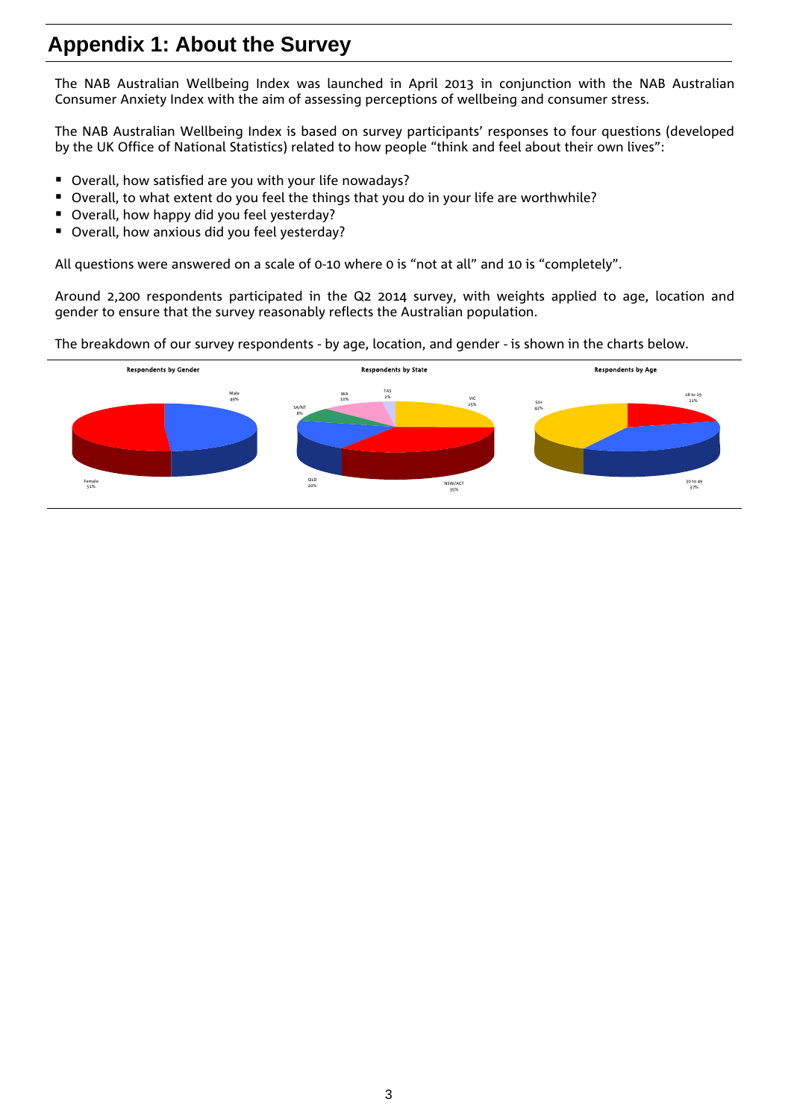# **Appendix 1: About the Survey**

The NAB Australian Wellbeing Index was launched in April 2013 in conjunction with the NAB Australian Consumer Anxiety Index with the aim of assessing perceptions of wellbeing and consumer stress.

The NAB Australian Wellbeing Index is based on survey participants' responses to four questions (developed by the UK Office of National Statistics) related to how people "think and feel about their own lives":

- Overall, how satisfied are you with your life nowadays?
- Overall, to what extent do you feel the things that you do in your life are worthwhile?
- Overall, how happy did you feel yesterday?
- **D** Overall, how anxious did you feel yesterday?

All questions were answered on a scale of 0-10 where 0 is "not at all" and 10 is "completely".

Around 2,200 respondents participated in the Q2 2014 survey, with weights applied to age, location and gender to ensure that the survey reasonably reflects the Australian population.

The breakdown of our survey respondents - by age, location, and gender - is shown in the charts below.

![](_page_2_Figure_10.jpeg)